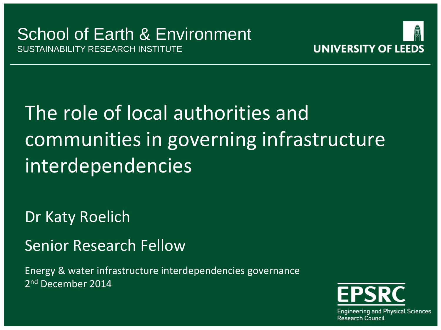#### School of Earth & Environment SUSTAINABILITY RESEARCH INSTITUTE



# The role of local authorities and communities in governing infrastructure interdependencies

Dr Katy Roelich

Senior Research Fellow

Energy & water infrastructure interdependencies governance 2<sup>nd</sup> December 2014

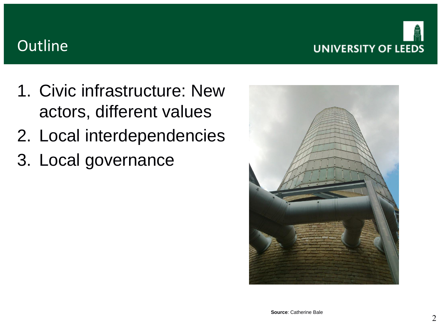# **UNIVERSITY OF LEEDS**

### **Outline**

- 1. Civic infrastructure: New actors, different values
- 2. Local interdependencies
- 3. Local governance

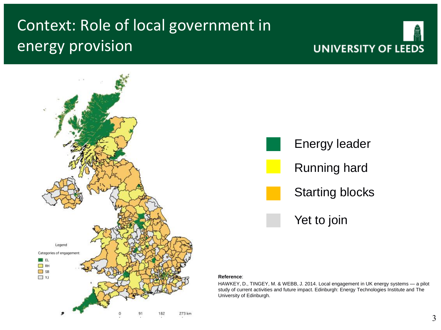## Context: Role of local government in energy provision





Energy leader Running hard Starting blocks Yet to join

#### **Reference**:

HAWKEY, D., TINGEY, M. & WEBB, J. 2014. Local engagement in UK energy systems — a pilot study of current activities and future impact. Edinburgh: Energy Technologies Institute and The University of Edinburgh.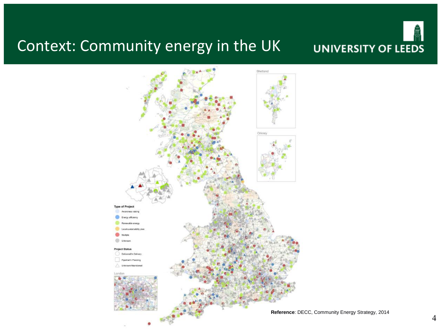### Context: Community energy in the UK





4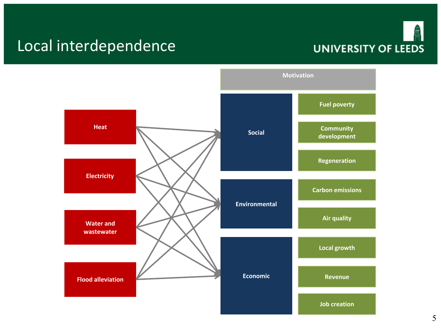#### Local interdependence



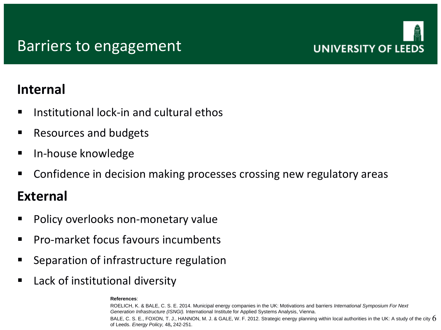#### Barriers to engagement



#### **Internal**

- Institutional lock-in and cultural ethos
- Resources and budgets
- In-house knowledge
- Confidence in decision making processes crossing new regulatory areas

#### **External**

- Policy overlooks non-monetary value
- Pro-market focus favours incumbents
- Separation of infrastructure regulation
- Lack of institutional diversity

#### **References**:

BALE, C. S. E., FOXON, T. J., HANNON, M. J. & GALE, W. F. 2012. Strategic energy planning within local authorities in the UK: A study of the city  $6$ ROELICH, K. & BALE, C. S. E. 2014. Municipal energy companies in the UK: Motivations and barriers *International Symposium For Next Generation Infrastructure (ISNGI).* International Institute for Applied Systems Analysis, Vienna. of Leeds. *Energy Policy,* 48**,** 242-251.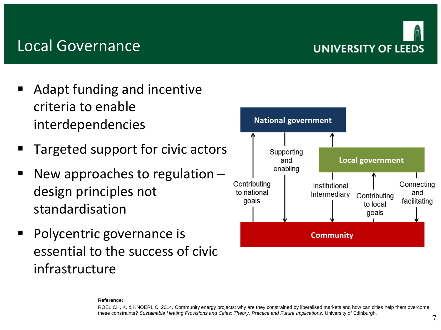# Local Governance



- Adapt funding and incentive criteria to enable interdependencies
- Targeted support for civic actors
- New approaches to regulation design principles not standardisation
- Polycentric governance is essential to the success of civic infrastructure



#### **Reference:**

ROELICH, K. & KNOERI, C. 2014. Community energy projects: why are they constrained by liberalised markets and how can cities help them overcome these constraints? *Sustainable Heating Provisions and Cities: Theory, Practice and Future Implications.* University of Edinburgh.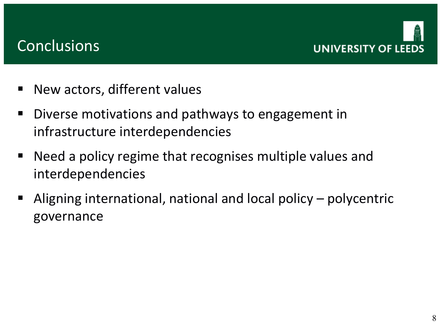#### **Conclusions**



- New actors, different values
- **Diverse motivations and pathways to engagement in** infrastructure interdependencies
- Need a policy regime that recognises multiple values and interdependencies
- Aligning international, national and local policy polycentric governance